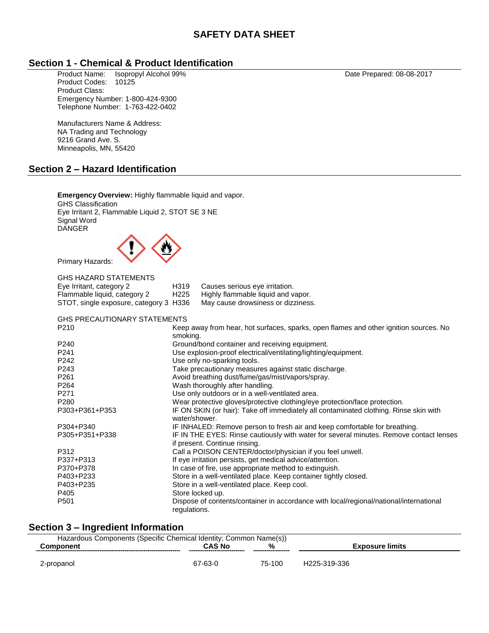### **Section 1 - Chemical & Product Identification**

Product Name: Isopropyl Alcohol 99% Date Prepared: 08-08-2017 Product Codes: 10125 Product Class: Emergency Number: 1-800-424-9300 Telephone Number: 1-763-422-0402

Manufacturers Name & Address: NA Trading and Technology 9216 Grand Ave. S. Minneapolis, MN, 55420

### **Section 2 – Hazard Identification**

**Emergency Overview:** Highly flammable liquid and vapor. GHS Classification Eye Irritant 2, Flammable Liquid 2, STOT SE 3 NE Signal Word DANGER Primary Hazards: GHS HAZARD STATEMENTS Eye Irritant, category 2 H319 Causes serious eye irritation. Flammable liquid, category 2 H225 Highly flammable liquid and vapor. STOT, single exposure, category 3 H336 May cause drowsiness or dizziness. GHS PRECAUTIONARY STATEMENTS P210 Keep away from hear, hot surfaces, sparks, open flames and other ignition sources. No smoking. P240 Ground/bond container and receiving equipment. P241 Use explosion-proof electrical/ventilating/lighting/equipment. P242 Use only no-sparking tools. P243 Take precautionary measures against static discharge. P261 **Avoid breathing dust/fume/gas/mist/vapors/spray.** P264 Wash thoroughly after handling. P271 Use only outdoors or in a well-ventilated area. P280 Wear protective gloves/protective clothing/eye protection/face protection. P303+P361+P353 IF ON SKIN (or hair): Take off immediately all contaminated clothing. Rinse skin with water/shower. P304+P340 IF INHALED: Remove person to fresh air and keep comfortable for breathing.<br>P305+P351+P338 IF IN THE EYES: Rinse cautiously with water for several minutes. Remove co IF IN THE EYES: Rinse cautiously with water for several minutes. Remove contact lenses if present. Continue rinsing. P312 Call a POISON CENTER/doctor/physician if you feel unwell. P337+P313 If eye irritation persists, get medical advice/attention. P370+P378 In case of fire, use appropriate method to extinguish. P403+P233 Store in a well-ventilated place. Keep container tightly closed. P403+P235 Store in a well-ventilated place. Keep cool. P405 Store locked up.<br>
P501 Store Dispose of conte Dispose of contents/container in accordance with local/regional/national/international regulations.

# **Section 3 – Ingredient Information**

| Hazardous Components (Specific Chemical Identity; Common Name(s)) |                                                |        |                 |  |  |
|-------------------------------------------------------------------|------------------------------------------------|--------|-----------------|--|--|
|                                                                   | %<br><b>CAS No</b><br>______________<br>------ |        | Exposure limits |  |  |
|                                                                   |                                                |        |                 |  |  |
| -propanol                                                         | 67-63-ს                                        | 75-100 | H225-319-336    |  |  |

| <b>GHS HAZARD STATEMENTS</b>         |                  |                                    |
|--------------------------------------|------------------|------------------------------------|
| Eye Irritant, category 2             | H319             | Causes serious eye irritation.     |
| Flammable liquid, category 2         | H <sub>225</sub> | Highly flammable liquid and vapor. |
| STOT single exposure category 3 H336 |                  | May cause drowsingss or dizzingss  |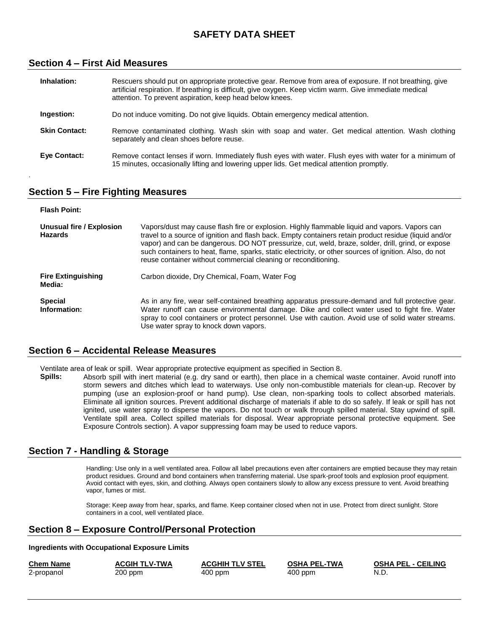#### **Section 4 – First Aid Measures**

| Inhalation:          | Rescuers should put on appropriate protective gear. Remove from area of exposure. If not breathing, give<br>artificial respiration. If breathing is difficult, give oxygen. Keep victim warm. Give immediate medical<br>attention. To prevent aspiration, keep head below knees. |
|----------------------|----------------------------------------------------------------------------------------------------------------------------------------------------------------------------------------------------------------------------------------------------------------------------------|
| Ingestion:           | Do not induce vomiting. Do not give liquids. Obtain emergency medical attention.                                                                                                                                                                                                 |
| <b>Skin Contact:</b> | Remove contaminated clothing. Wash skin with soap and water. Get medical attention. Wash clothing<br>separately and clean shoes before reuse.                                                                                                                                    |
| Eye Contact:         | Remove contact lenses if worn. Immediately flush eyes with water. Flush eyes with water for a minimum of<br>15 minutes, occasionally lifting and lowering upper lids. Get medical attention promptly.                                                                            |

#### **Section 5 – Fire Fighting Measures**

.

| <b>Flash Point:</b>                        |                                                                                                                                                                                                                                                                                                                                                                                                                                                                                         |
|--------------------------------------------|-----------------------------------------------------------------------------------------------------------------------------------------------------------------------------------------------------------------------------------------------------------------------------------------------------------------------------------------------------------------------------------------------------------------------------------------------------------------------------------------|
| Unusual fire / Explosion<br><b>Hazards</b> | Vapors/dust may cause flash fire or explosion. Highly flammable liguid and vapors. Vapors can<br>travel to a source of ignition and flash back. Empty containers retain product residue (liquid and/or<br>vapor) and can be dangerous. DO NOT pressurize, cut, weld, braze, solder, drill, grind, or expose<br>such containers to heat, flame, sparks, static electricity, or other sources of ignition. Also, do not<br>reuse container without commercial cleaning or reconditioning. |
| <b>Fire Extinguishing</b><br>Media:        | Carbon dioxide, Dry Chemical, Foam, Water Fog                                                                                                                                                                                                                                                                                                                                                                                                                                           |
| <b>Special</b><br>Information:             | As in any fire, wear self-contained breathing apparatus pressure-demand and full protective gear.<br>Water runoff can cause environmental damage. Dike and collect water used to fight fire. Water<br>spray to cool containers or protect personnel. Use with caution. Avoid use of solid water streams.<br>Use water spray to knock down vapors.                                                                                                                                       |

#### **Section 6 – Accidental Release Measures**

Ventilate area of leak or spill. Wear appropriate protective equipment as specified in Section 8.

**Spills:** Absorb spill with inert material (e.g. dry sand or earth), then place in a chemical waste container. Avoid runoff into storm sewers and ditches which lead to waterways. Use only non-combustible materials for clean-up. Recover by pumping (use an explosion-proof or hand pump). Use clean, non-sparking tools to collect absorbed materials. Eliminate all ignition sources. Prevent additional discharge of materials if able to do so safely. If leak or spill has not ignited, use water spray to disperse the vapors. Do not touch or walk through spilled material. Stay upwind of spill. Ventilate spill area. Collect spilled materials for disposal. Wear appropriate personal protective equipment. See Exposure Controls section). A vapor suppressing foam may be used to reduce vapors.

# **Section 7 - Handling & Storage**

Handling: Use only in a well ventilated area. Follow all label precautions even after containers are emptied because they may retain product residues. Ground and bond containers when transferring material. Use spark-proof tools and explosion proof equipment. Avoid contact with eyes, skin, and clothing. Always open containers slowly to allow any excess pressure to vent. Avoid breathing vapor, fumes or mist.

Storage: Keep away from hear, sparks, and flame. Keep container closed when not in use. Protect from direct sunlight. Store containers in a cool, well ventilated place.

# **Section 8 – Exposure Control/Personal Protection**

#### **Ingredients with Occupational Exposure Limits**

| <b>Chem Name</b> | <b>ACGIH TLV-TWA</b> | <b>ACGHIH TLV STEL</b> | <b>OSHA PEL-TWA</b> | <b>OSHA PEL - CEILING</b> |
|------------------|----------------------|------------------------|---------------------|---------------------------|
| 2-propanol       | 200 ppm              | $400$ ppm              | $400$ ppm           | N.D                       |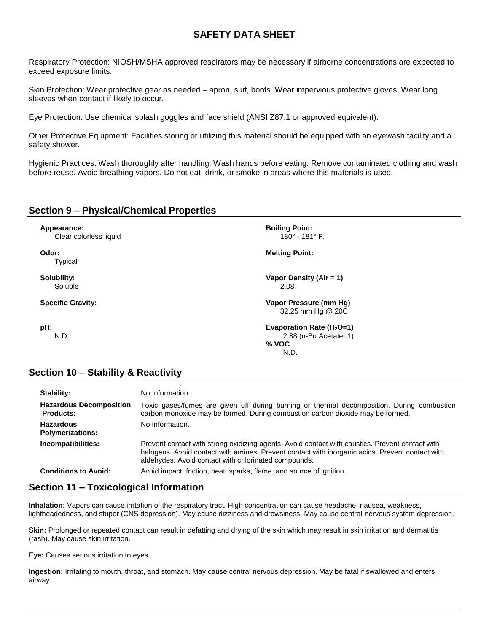Respiratory Protection: NIOSH/MSHA approved respirators may be necessary if airborne concentrations are expected to exceed exposure limits.

Skin Protection: Wear protective gear as needed – apron, suit, boots. Wear impervious protective gloves. Wear long sleeves when contact if likely to occur.

Eye Protection: Use chemical splash goggles and face shield (ANSI Z87.1 or approved equivalent).

Other Protective Equipment: Facilities storing or utilizing this material should be equipped with an eyewash facility and a safety shower.

Hygienic Practices: Wash thoroughly after handling. Wash hands before eating. Remove contaminated clothing and wash before reuse. Avoid breathing vapors. Do not eat, drink, or smoke in areas where this materials is used.

### **Section 9 – Physical/Chemical Properties**

**Appearance: Boiling Point: Boiling Point: Boiling Point: Boiling Point:** 180° - 181° F. Clear colorless liquid

Typical

**Odor: Melting Point:**

**Solubility: Vapor Density (Air = 1)** Soluble 2.08

**Specific Gravity: Vapor Pressure (mm Hg)** 32.25 mm Hg @ 20C

**pH: Evaporation Rate (H2O=1)** N.D. 2.88 (n-Bu Acetate=1) **% VOC** N.D.

# **Section 10 – Stability & Reactivity**

| Stability:                                         | No Information.                                                                                                                                                                                                                                            |
|----------------------------------------------------|------------------------------------------------------------------------------------------------------------------------------------------------------------------------------------------------------------------------------------------------------------|
| <b>Hazardous Decomposition</b><br><b>Products:</b> | Toxic gases/fumes are given off during burning or thermal decomposition. During combustion<br>carbon monoxide may be formed. During combustion carbon dioxide may be formed.                                                                               |
| <b>Hazardous</b><br><b>Polymerizations:</b>        | No information.                                                                                                                                                                                                                                            |
| Incompatibilities:                                 | Prevent contact with strong oxidizing agents. Avoid contact with caustics. Prevent contact with<br>halogens. Avoid contact with amines. Prevent contact with inorganic acids. Prevent contact with<br>aldehydes. Avoid contact with chlorinated compounds. |
| <b>Conditions to Avoid:</b>                        | Avoid impact, friction, heat, sparks, flame, and source of ignition.                                                                                                                                                                                       |

# **Section 11 – Toxicological Information**

**Inhalation:** Vapors can cause irritation of the respiratory tract. High concentration can cause headache, nausea, weakness, lightheadedness, and stupor (CNS depression). May cause dizziness and drowsiness. May cause central nervous system depression.

**Skin:** Prolonged or repeated contact can result in defatting and drying of the skin which may result in skin irritation and dermatitis (rash). May cause skin irritation.

**Eye:** Causes serious irritation to eyes.

**Ingestion:** Irritating to mouth, throat, and stomach. May cause central nervous depression. May be fatal if swallowed and enters airway.